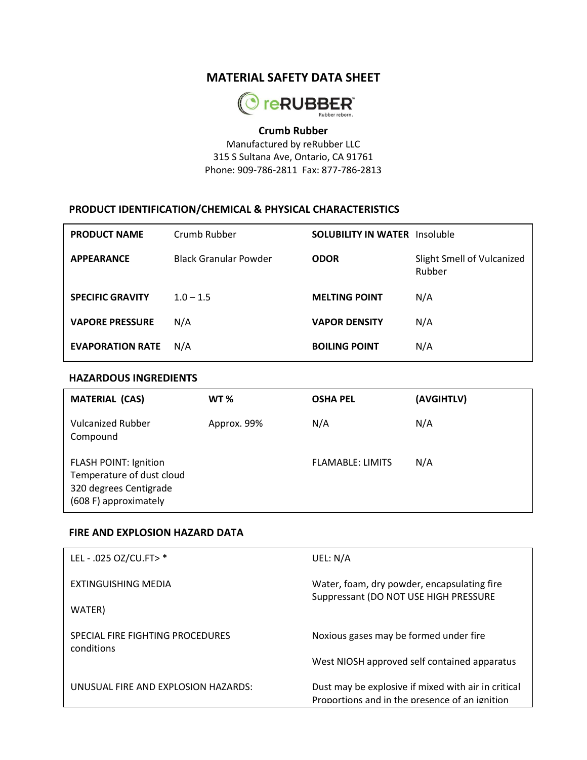# **MATERIAL SAFETY DATA SHEET**



#### **Crumb Rubber**

Manufactured by reRubber LLC 315 S Sultana Ave, Ontario, CA 91761 Phone: 909-786-2811 Fax: 877-786-2813

### **PRODUCT IDENTIFICATION/CHEMICAL & PHYSICAL CHARACTERISTICS**

| <b>PRODUCT NAME</b>     | Crumb Rubber                 | <b>SOLUBILITY IN WATER</b> Insoluble |                                      |
|-------------------------|------------------------------|--------------------------------------|--------------------------------------|
| <b>APPEARANCE</b>       | <b>Black Granular Powder</b> | <b>ODOR</b>                          | Slight Smell of Vulcanized<br>Rubber |
| <b>SPECIFIC GRAVITY</b> | $1.0 - 1.5$                  | <b>MELTING POINT</b>                 | N/A                                  |
| <b>VAPORE PRESSURE</b>  | N/A                          | <b>VAPOR DENSITY</b>                 | N/A                                  |
| <b>EVAPORATION RATE</b> | N/A                          | <b>BOILING POINT</b>                 | N/A                                  |

#### **HAZARDOUS INGREDIENTS**

| <b>MATERIAL (CAS)</b>                                                                                        | <b>WT %</b> | <b>OSHA PEL</b>         | (AVGIHTLV) |
|--------------------------------------------------------------------------------------------------------------|-------------|-------------------------|------------|
| <b>Vulcanized Rubber</b><br>Compound                                                                         | Approx. 99% | N/A                     | N/A        |
| <b>FLASH POINT: Ignition</b><br>Temperature of dust cloud<br>320 degrees Centigrade<br>(608 F) approximately |             | <b>FLAMABLE: LIMITS</b> | N/A        |

#### **FIRE AND EXPLOSION HAZARD DATA**

| LEL - .025 OZ/CU.FT> *                         | UEL: N/A                                                                                              |  |
|------------------------------------------------|-------------------------------------------------------------------------------------------------------|--|
| EXTINGUISHING MEDIA                            | Water, foam, dry powder, encapsulating fire<br>Suppressant (DO NOT USE HIGH PRESSURE                  |  |
| WATER)                                         |                                                                                                       |  |
| SPECIAL FIRE FIGHTING PROCEDURES<br>conditions | Noxious gases may be formed under fire                                                                |  |
|                                                | West NIOSH approved self contained apparatus                                                          |  |
| UNUSUAL FIRE AND EXPLOSION HAZARDS:            | Dust may be explosive if mixed with air in critical<br>Proportions and in the presence of an ignition |  |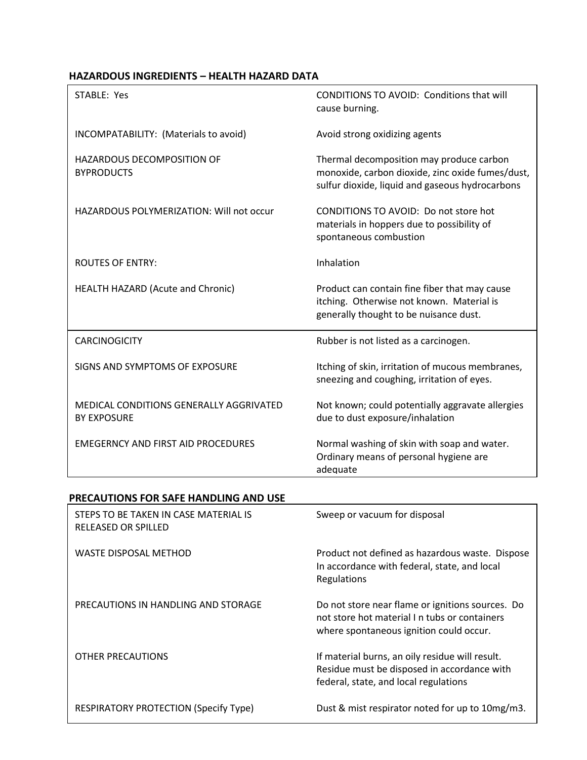### **HAZARDOUS INGREDIENTS – HEALTH HAZARD DATA**

| <b>STABLE: Yes</b>                                                   | <b>CONDITIONS TO AVOID: Conditions that will</b><br>cause burning.                                                                              |
|----------------------------------------------------------------------|-------------------------------------------------------------------------------------------------------------------------------------------------|
| INCOMPATABILITY: (Materials to avoid)                                | Avoid strong oxidizing agents                                                                                                                   |
| <b>HAZARDOUS DECOMPOSITION OF</b><br><b>BYPRODUCTS</b>               | Thermal decomposition may produce carbon<br>monoxide, carbon dioxide, zinc oxide fumes/dust,<br>sulfur dioxide, liquid and gaseous hydrocarbons |
| <b>HAZARDOUS POLYMERIZATION: Will not occur</b>                      | CONDITIONS TO AVOID: Do not store hot<br>materials in hoppers due to possibility of<br>spontaneous combustion                                   |
| <b>ROUTES OF ENTRY:</b>                                              | Inhalation                                                                                                                                      |
| HEALTH HAZARD (Acute and Chronic)                                    | Product can contain fine fiber that may cause<br>itching. Otherwise not known. Material is<br>generally thought to be nuisance dust.            |
| <b>CARCINOGICITY</b>                                                 | Rubber is not listed as a carcinogen.                                                                                                           |
| SIGNS AND SYMPTOMS OF EXPOSURE                                       | Itching of skin, irritation of mucous membranes,<br>sneezing and coughing, irritation of eyes.                                                  |
| <b>MEDICAL CONDITIONS GENERALLY AGGRIVATED</b><br><b>BY EXPOSURE</b> | Not known; could potentially aggravate allergies<br>due to dust exposure/inhalation                                                             |
| <b>EMEGERNCY AND FIRST AID PROCEDURES</b>                            | Normal washing of skin with soap and water.<br>Ordinary means of personal hygiene are<br>adequate                                               |

## **PRECAUTIONS FOR SAFE HANDLING AND USE**

| STEPS TO BE TAKEN IN CASE MATERIAL IS<br>RELEASED OR SPILLED | Sweep or vacuum for disposal                                                                                                                 |
|--------------------------------------------------------------|----------------------------------------------------------------------------------------------------------------------------------------------|
| WASTE DISPOSAL METHOD                                        | Product not defined as hazardous waste. Dispose<br>In accordance with federal, state, and local<br>Regulations                               |
| PRECAUTIONS IN HANDLING AND STORAGE                          | Do not store near flame or ignitions sources. Do<br>not store hot material I n tubs or containers<br>where spontaneous ignition could occur. |
| OTHER PRECAUTIONS                                            | If material burns, an oily residue will result.<br>Residue must be disposed in accordance with<br>federal, state, and local regulations      |
| <b>RESPIRATORY PROTECTION (Specify Type)</b>                 | Dust & mist respirator noted for up to 10mg/m3.                                                                                              |